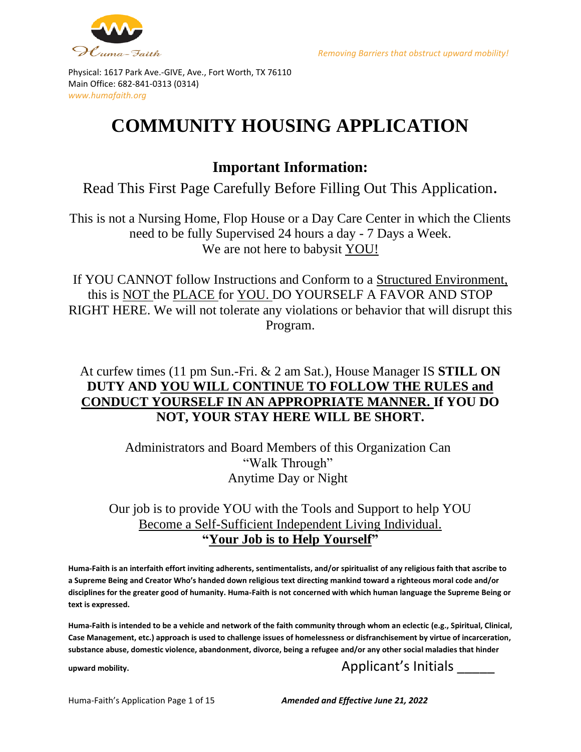



# **COMMUNITY HOUSING APPLICATION**

### **Important Information:**

Read This First Page Carefully Before Filling Out This Application.

This is not a Nursing Home, Flop House or a Day Care Center in which the Clients need to be fully Supervised 24 hours a day - 7 Days a Week. We are not here to babysit YOU!

If YOU CANNOT follow Instructions and Conform to a Structured Environment, this is NOT the PLACE for YOU. DO YOURSELF A FAVOR AND STOP RIGHT HERE. We will not tolerate any violations or behavior that will disrupt this Program.

### At curfew times (11 pm Sun.-Fri. & 2 am Sat.), House Manager IS **STILL ON DUTY AND YOU WILL CONTINUE TO FOLLOW THE RULES and CONDUCT YOURSELF IN AN APPROPRIATE MANNER. If YOU DO NOT, YOUR STAY HERE WILL BE SHORT.**

Administrators and Board Members of this Organization Can "Walk Through" Anytime Day or Night

#### Our job is to provide YOU with the Tools and Support to help YOU Become a Self-Sufficient Independent Living Individual. **"Your Job is to Help Yourself"**

**Huma-Faith is an interfaith effort inviting adherents, sentimentalists, and/or spiritualist of any religious faith that ascribe to a Supreme Being and Creator Who's handed down religious text directing mankind toward a righteous moral code and/or disciplines for the greater good of humanity. Huma-Faith is not concerned with which human language the Supreme Being or text is expressed.**

**Huma-Faith is intended to be a vehicle and network of the faith community through whom an eclectic (e.g., Spiritual, Clinical, Case Management, etc.) approach is used to challenge issues of homelessness or disfranchisement by virtue of incarceration, substance abuse, domestic violence, abandonment, divorce, being a refugee and/or any other social maladies that hinder** 

### upward mobility. Applicant's Initials

Huma-Faith's Application Page 1 of 15 *Amended and Effective June 21, 2022*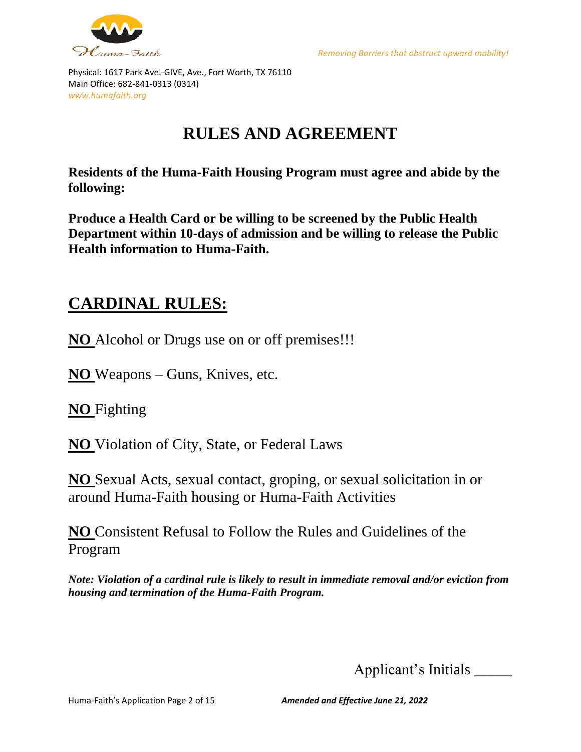



## **RULES AND AGREEMENT**

**Residents of the Huma-Faith Housing Program must agree and abide by the following:**

**Produce a Health Card or be willing to be screened by the Public Health Department within 10-days of admission and be willing to release the Public Health information to Huma-Faith.**

### **CARDINAL RULES:**

**NO** Alcohol or Drugs use on or off premises!!!

**NO** Weapons – Guns, Knives, etc.

**NO** Fighting

**NO** Violation of City, State, or Federal Laws

**NO** Sexual Acts, sexual contact, groping, or sexual solicitation in or around Huma-Faith housing or Huma-Faith Activities

**NO** Consistent Refusal to Follow the Rules and Guidelines of the Program

*Note: Violation of a cardinal rule is likely to result in immediate removal and/or eviction from housing and termination of the Huma-Faith Program.*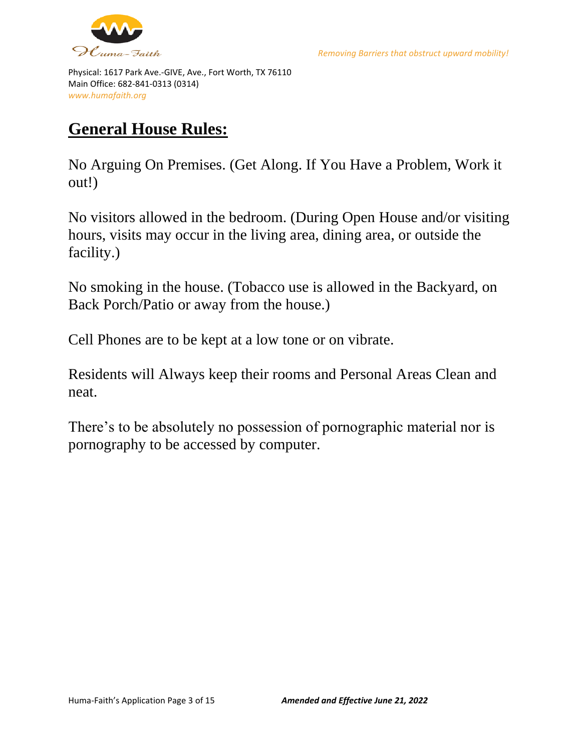

Physical: 1617 Park Ave.-GIVE, Ave., Fort Worth, TX 76110 Main Office: 682-841-0313 (0314) *www.humafaith.org* 

### **General House Rules:**

No Arguing On Premises. (Get Along. If You Have a Problem, Work it out!)

No visitors allowed in the bedroom. (During Open House and/or visiting hours, visits may occur in the living area, dining area, or outside the facility.)

No smoking in the house. (Tobacco use is allowed in the Backyard, on Back Porch/Patio or away from the house.)

Cell Phones are to be kept at a low tone or on vibrate.

Residents will Always keep their rooms and Personal Areas Clean and neat.

There's to be absolutely no possession of pornographic material nor is pornography to be accessed by computer.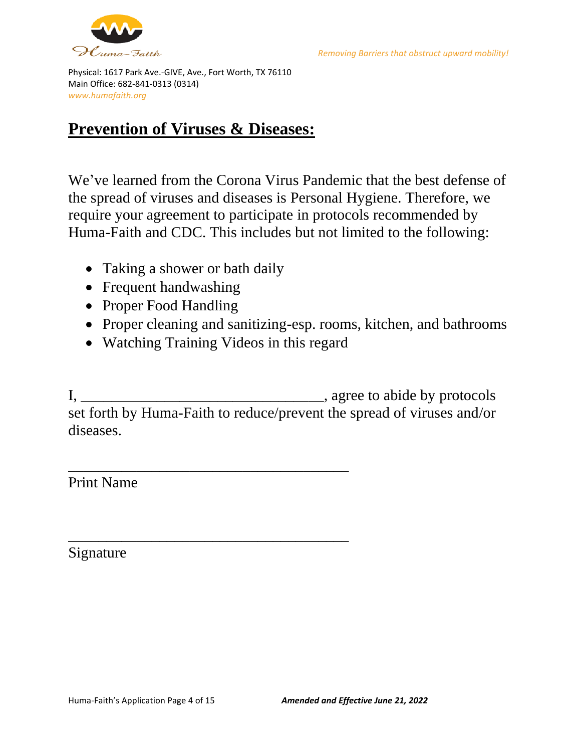



### **Prevention of Viruses & Diseases:**

We've learned from the Corona Virus Pandemic that the best defense of the spread of viruses and diseases is Personal Hygiene. Therefore, we require your agreement to participate in protocols recommended by Huma-Faith and CDC. This includes but not limited to the following:

- Taking a shower or bath daily
- Frequent handwashing
- Proper Food Handling
- Proper cleaning and sanitizing-esp. rooms, kitchen, and bathrooms
- Watching Training Videos in this regard

\_\_\_\_\_\_\_\_\_\_\_\_\_\_\_\_\_\_\_\_\_\_\_\_\_\_\_\_\_\_\_\_\_\_\_\_\_

\_\_\_\_\_\_\_\_\_\_\_\_\_\_\_\_\_\_\_\_\_\_\_\_\_\_\_\_\_\_\_\_\_\_\_\_\_

I, \_\_\_\_\_\_\_\_\_\_\_\_\_\_\_\_\_\_\_\_\_\_\_\_\_\_\_\_\_\_\_\_, agree to abide by protocols set forth by Huma-Faith to reduce/prevent the spread of viruses and/or diseases.

Print Name

Signature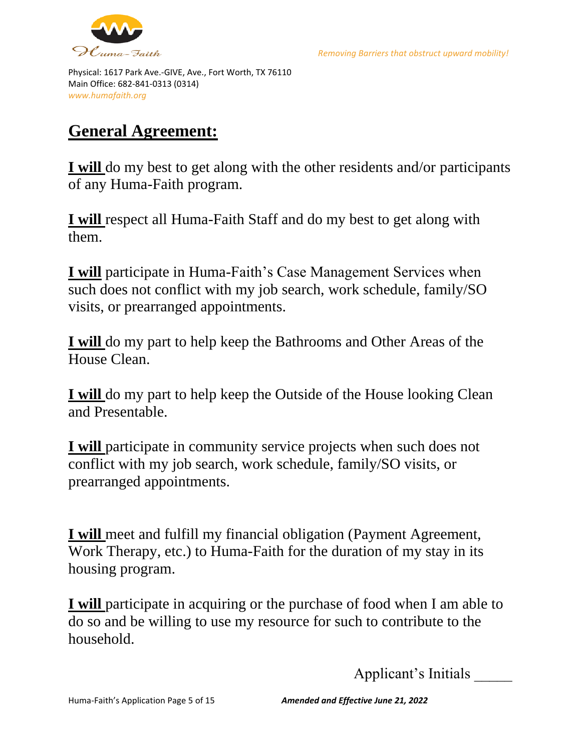



## **General Agreement:**

**I will** do my best to get along with the other residents and/or participants of any Huma-Faith program.

**I will** respect all Huma-Faith Staff and do my best to get along with them.

**I will** participate in Huma-Faith's Case Management Services when such does not conflict with my job search, work schedule, family/SO visits, or prearranged appointments.

**I will** do my part to help keep the Bathrooms and Other Areas of the House Clean.

**I will** do my part to help keep the Outside of the House looking Clean and Presentable.

**I will** participate in community service projects when such does not conflict with my job search, work schedule, family/SO visits, or prearranged appointments.

**I will** meet and fulfill my financial obligation (Payment Agreement, Work Therapy, etc.) to Huma-Faith for the duration of my stay in its housing program.

**I will** participate in acquiring or the purchase of food when I am able to do so and be willing to use my resource for such to contribute to the household.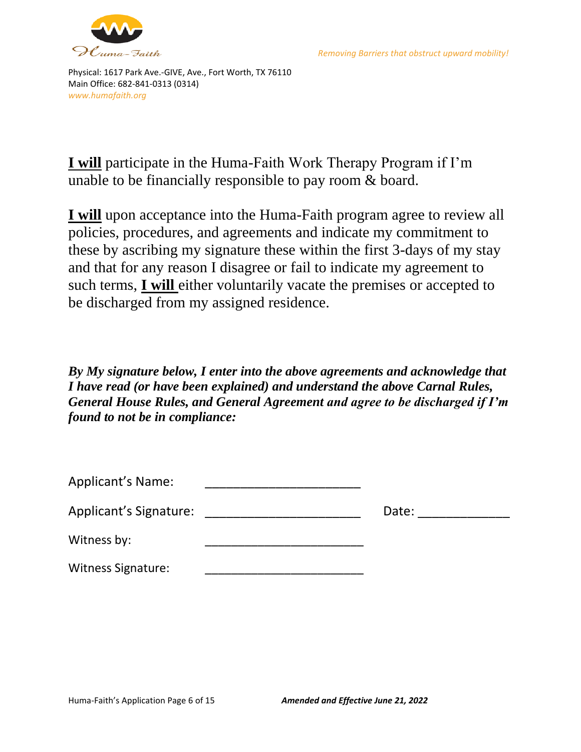



**I will** participate in the Huma-Faith Work Therapy Program if I'm unable to be financially responsible to pay room & board.

**I will** upon acceptance into the Huma-Faith program agree to review all policies, procedures, and agreements and indicate my commitment to these by ascribing my signature these within the first 3-days of my stay and that for any reason I disagree or fail to indicate my agreement to such terms, **I will** either voluntarily vacate the premises or accepted to be discharged from my assigned residence.

*By My signature below, I enter into the above agreements and acknowledge that I have read (or have been explained) and understand the above Carnal Rules, General House Rules, and General Agreement and agree to be discharged if I'm found to not be in compliance:*

| <b>Applicant's Name:</b>  |       |
|---------------------------|-------|
| Applicant's Signature:    | Date: |
| Witness by:               |       |
| <b>Witness Signature:</b> |       |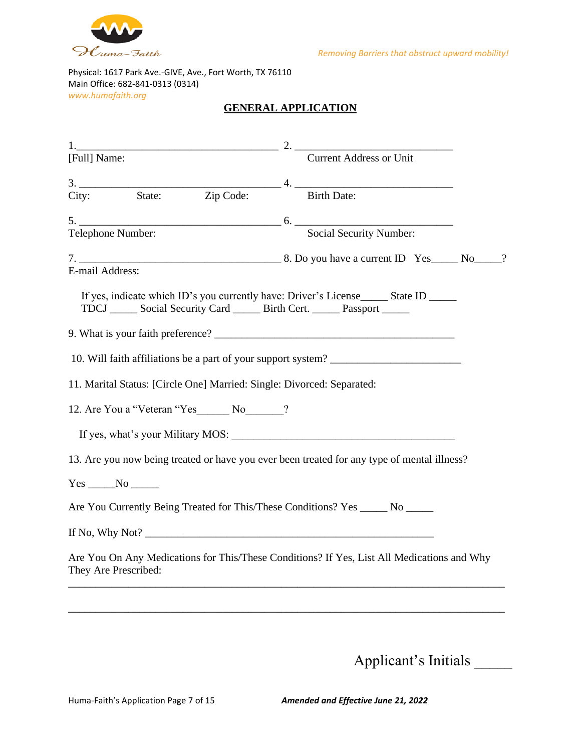

#### **GENERAL APPLICATION**

| [Full] Name:                                                                                                                                                                  | <b>Current Address or Unit</b> |  |
|-------------------------------------------------------------------------------------------------------------------------------------------------------------------------------|--------------------------------|--|
| 3. State: Zip Code: 4. Birth Date:                                                                                                                                            |                                |  |
|                                                                                                                                                                               |                                |  |
|                                                                                                                                                                               |                                |  |
|                                                                                                                                                                               |                                |  |
| E-mail Address:                                                                                                                                                               |                                |  |
| If yes, indicate which ID's you currently have: Driver's License ________ State ID ________<br>TDCJ _______ Social Security Card _______ Birth Cert. _______ Passport _______ |                                |  |
|                                                                                                                                                                               |                                |  |
| 10. Will faith affiliations be a part of your support system?                                                                                                                 |                                |  |
| 11. Marital Status: [Circle One] Married: Single: Divorced: Separated:                                                                                                        |                                |  |
| 12. Are You a "Veteran "Yes No ?                                                                                                                                              |                                |  |
|                                                                                                                                                                               |                                |  |
| 13. Are you now being treated or have you ever been treated for any type of mental illness?                                                                                   |                                |  |
|                                                                                                                                                                               |                                |  |
| Are You Currently Being Treated for This/These Conditions? Yes _____ No _____                                                                                                 |                                |  |
| If No, Why Not?                                                                                                                                                               |                                |  |
| Are You On Any Medications for This/These Conditions? If Yes, List All Medications and Why<br>They Are Prescribed:                                                            |                                |  |
|                                                                                                                                                                               |                                |  |
|                                                                                                                                                                               |                                |  |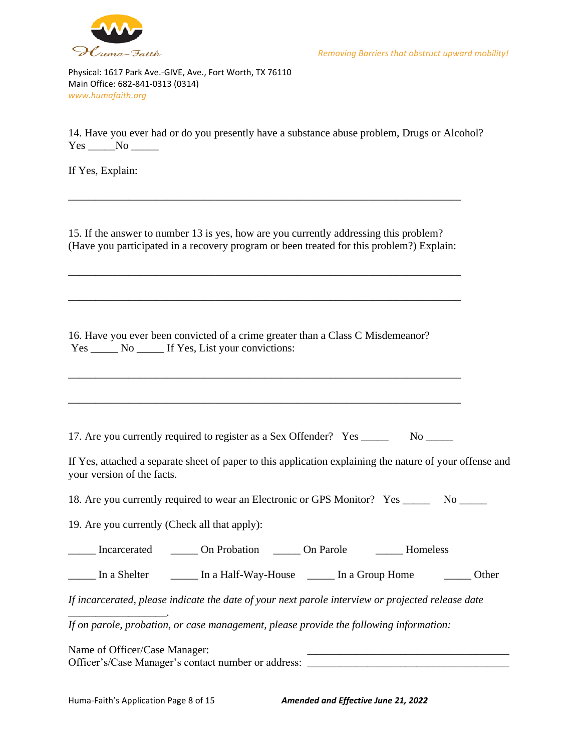

14. Have you ever had or do you presently have a substance abuse problem, Drugs or Alcohol?  $Yes$   $No$   $\_\_$ 

If Yes, Explain:

15. If the answer to number 13 is yes, how are you currently addressing this problem? (Have you participated in a recovery program or been treated for this problem?) Explain:

\_\_\_\_\_\_\_\_\_\_\_\_\_\_\_\_\_\_\_\_\_\_\_\_\_\_\_\_\_\_\_\_\_\_\_\_\_\_\_\_\_\_\_\_\_\_\_\_\_\_\_\_\_\_\_\_\_\_\_\_\_\_\_\_\_\_\_\_\_\_\_\_

\_\_\_\_\_\_\_\_\_\_\_\_\_\_\_\_\_\_\_\_\_\_\_\_\_\_\_\_\_\_\_\_\_\_\_\_\_\_\_\_\_\_\_\_\_\_\_\_\_\_\_\_\_\_\_\_\_\_\_\_\_\_\_\_\_\_\_\_\_\_\_\_

\_\_\_\_\_\_\_\_\_\_\_\_\_\_\_\_\_\_\_\_\_\_\_\_\_\_\_\_\_\_\_\_\_\_\_\_\_\_\_\_\_\_\_\_\_\_\_\_\_\_\_\_\_\_\_\_\_\_\_\_\_\_\_\_\_\_\_\_\_\_\_\_

\_\_\_\_\_\_\_\_\_\_\_\_\_\_\_\_\_\_\_\_\_\_\_\_\_\_\_\_\_\_\_\_\_\_\_\_\_\_\_\_\_\_\_\_\_\_\_\_\_\_\_\_\_\_\_\_\_\_\_\_\_\_\_\_\_\_\_\_\_\_\_\_

\_\_\_\_\_\_\_\_\_\_\_\_\_\_\_\_\_\_\_\_\_\_\_\_\_\_\_\_\_\_\_\_\_\_\_\_\_\_\_\_\_\_\_\_\_\_\_\_\_\_\_\_\_\_\_\_\_\_\_\_\_\_\_\_\_\_\_\_\_\_\_\_

16. Have you ever been convicted of a crime greater than a Class C Misdemeanor? Yes \_\_\_\_\_\_ No \_\_\_\_\_ If Yes, List your convictions:

17. Are you currently required to register as a Sex Offender? Yes \_\_\_\_\_\_\_ No \_\_\_\_\_

If Yes, attached a separate sheet of paper to this application explaining the nature of your offense and your version of the facts.

18. Are you currently required to wear an Electronic or GPS Monitor? Yes \_\_\_\_\_\_\_ No \_\_\_\_\_

19. Are you currently (Check all that apply):

Incarcerated  $\Box$  On Probation  $\Box$  On Parole Homeless

\_\_\_\_\_ In a Shelter \_\_\_\_\_ In a Half-Way-House \_\_\_\_\_ In a Group Home \_\_\_\_\_ Other

*If incarcerated, please indicate the date of your next parole interview or projected release date* 

*If on parole, probation, or case management, please provide the following information:*

Name of Officer/Case Manager: Officer's/Case Manager's contact number or address: \_\_\_\_\_\_\_\_\_\_\_\_\_\_\_\_\_\_\_\_\_\_\_\_\_\_\_\_\_

*\_\_\_\_\_\_\_\_\_\_\_\_\_\_\_\_\_\_.*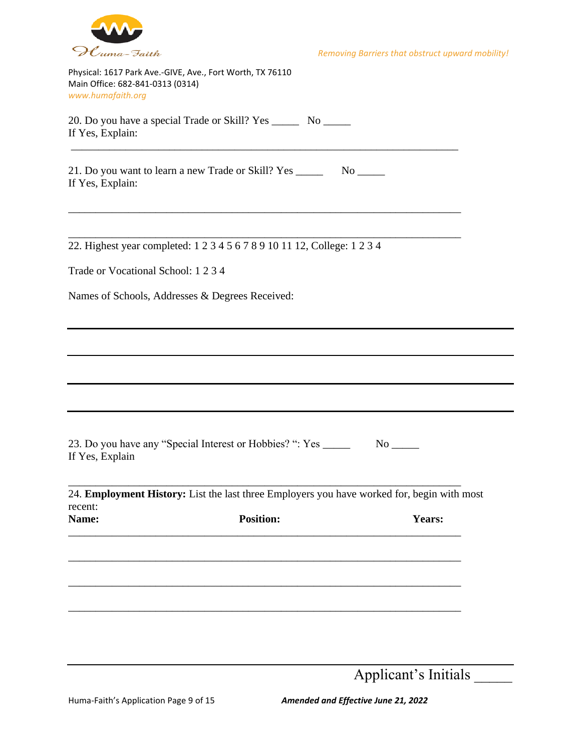

Physical: 1617 Park Ave.-GIVE, Ave., Fort Worth, TX 76110 Main Office: 682-841-0313 (0314) *www.humafaith.org* 

20. Do you have a special Trade or Skill? Yes \_\_\_\_\_ No \_\_\_\_\_ If Yes, Explain:

\_\_\_\_\_\_\_\_\_\_\_\_\_\_\_\_\_\_\_\_\_\_\_\_\_\_\_\_\_\_\_\_\_\_\_\_\_\_\_\_\_\_\_\_\_\_\_\_\_\_\_\_\_\_\_\_\_\_\_\_\_\_\_\_\_\_\_\_\_\_\_

\_\_\_\_\_\_\_\_\_\_\_\_\_\_\_\_\_\_\_\_\_\_\_\_\_\_\_\_\_\_\_\_\_\_\_\_\_\_\_\_\_\_\_\_\_\_\_\_\_\_\_\_\_\_\_\_\_\_\_\_\_\_\_\_\_\_\_\_\_\_\_\_

21. Do you want to learn a new Trade or Skill? Yes \_\_\_\_\_\_\_ No \_\_\_\_\_ If Yes, Explain:

\_\_\_\_\_\_\_\_\_\_\_\_\_\_\_\_\_\_\_\_\_\_\_\_\_\_\_\_\_\_\_\_\_\_\_\_\_\_\_\_\_\_\_\_\_\_\_\_\_\_\_\_\_\_\_\_\_\_\_\_\_\_\_\_\_\_\_\_\_\_\_\_ 22. Highest year completed: 1 2 3 4 5 6 7 8 9 10 11 12, College: 1 2 3 4

Trade or Vocational School: 1 2 3 4

Names of Schools, Addresses & Degrees Received:

23. Do you have any "Special Interest or Hobbies? ": Yes \_\_\_\_\_\_ No \_\_\_\_\_ If Yes, Explain

24. **Employment History:** List the last three Employers you have worked for, begin with most recent: Name: **Position: Position: Years:** 

\_\_\_\_\_\_\_\_\_\_\_\_\_\_\_\_\_\_\_\_\_\_\_\_\_\_\_\_\_\_\_\_\_\_\_\_\_\_\_\_\_\_\_\_\_\_\_\_\_\_\_\_\_\_\_\_\_\_\_\_\_\_\_\_\_\_\_\_\_\_\_\_

| - . - - - - - - | _____ |
|-----------------|-------|
|                 |       |
|                 |       |
|                 |       |
|                 |       |
|                 |       |
|                 |       |
|                 |       |
|                 |       |
|                 |       |
|                 |       |
|                 |       |
|                 |       |
|                 |       |
|                 |       |
|                 |       |
|                 |       |
|                 |       |
|                 |       |
|                 |       |
|                 |       |
|                 |       |
|                 |       |
|                 |       |
|                 |       |
|                 |       |
|                 |       |
|                 |       |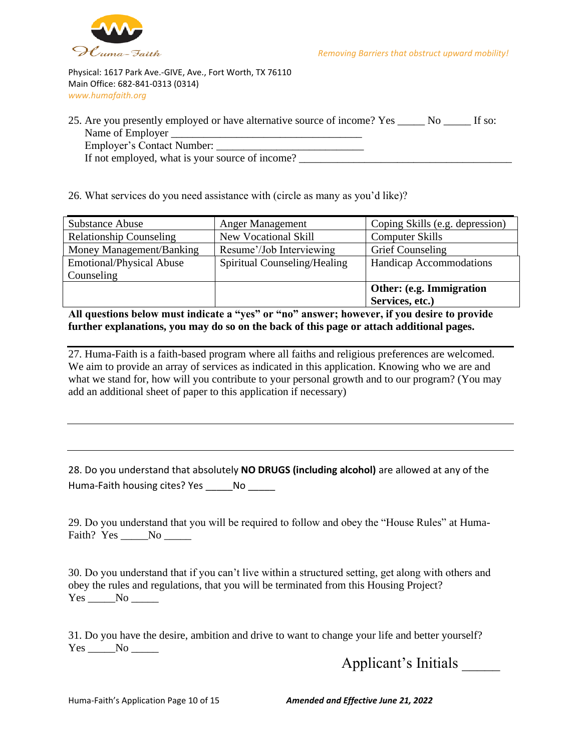

Physical: 1617 Park Ave.-GIVE, Ave., Fort Worth, TX 76110 Main Office: 682-841-0313 (0314) *www.humafaith.org* 

| 25. Are you presently employed or have alternative source of income? Yes | If so: |
|--------------------------------------------------------------------------|--------|
| Name of Employer                                                         |        |
| Employer's Contact Number:                                               |        |
|                                                                          |        |

If not employed, what is your source of income? \_\_\_\_\_\_\_\_\_\_\_\_\_\_\_\_\_\_\_\_\_\_\_\_\_\_\_\_\_\_\_\_\_

26. What services do you need assistance with (circle as many as you'd like)?

| <b>Substance Abuse</b>          | <b>Anger Management</b>      | Coping Skills (e.g. depression)  |
|---------------------------------|------------------------------|----------------------------------|
| <b>Relationship Counseling</b>  | <b>New Vocational Skill</b>  | <b>Computer Skills</b>           |
| Money Management/Banking        | Resume'/Job Interviewing     | <b>Grief Counseling</b>          |
| <b>Emotional/Physical Abuse</b> | Spiritual Counseling/Healing | <b>Handicap Accommodations</b>   |
| Counseling                      |                              |                                  |
|                                 |                              | <b>Other: (e.g. Immigration)</b> |
|                                 |                              | Services, etc.)                  |

**All questions below must indicate a "yes" or "no" answer; however, if you desire to provide further explanations, you may do so on the back of this page or attach additional pages.**

27. Huma-Faith is a faith-based program where all faiths and religious preferences are welcomed. We aim to provide an array of services as indicated in this application. Knowing who we are and what we stand for, how will you contribute to your personal growth and to our program? (You may add an additional sheet of paper to this application if necessary)

28. Do you understand that absolutely **NO DRUGS (including alcohol)** are allowed at any of the Huma-Faith housing cites? Yes \_\_\_\_\_No \_\_\_\_\_

29. Do you understand that you will be required to follow and obey the "House Rules" at Huma-Faith? Yes No No

30. Do you understand that if you can't live within a structured setting, get along with others and obey the rules and regulations, that you will be terminated from this Housing Project? Yes \_\_\_\_\_\_No \_\_\_\_\_\_

31. Do you have the desire, ambition and drive to want to change your life and better yourself? Yes No

Applicant's Initials \_\_\_\_\_

Huma-Faith's Application Page 10 of 15 *Amended and Effective June 21, 2022*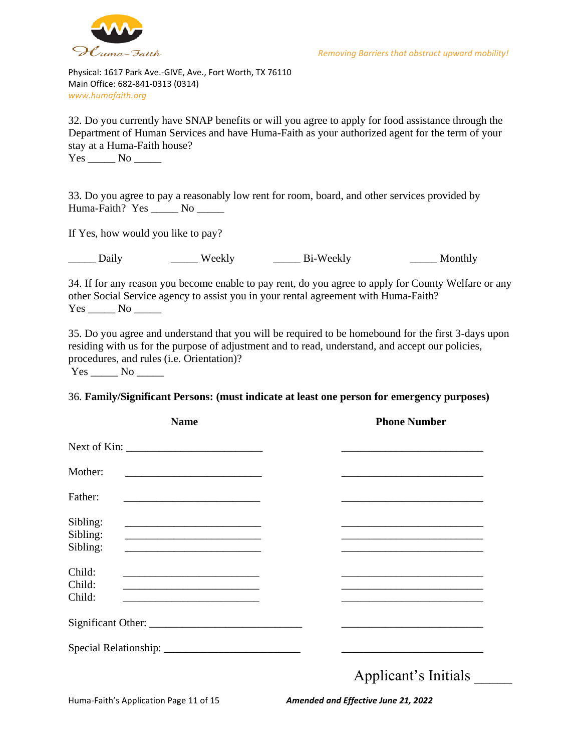

32. Do you currently have SNAP benefits or will you agree to apply for food assistance through the Department of Human Services and have Huma-Faith as your authorized agent for the term of your stay at a Huma-Faith house?

Yes \_\_\_\_\_\_\_ No \_\_\_\_\_\_

33. Do you agree to pay a reasonably low rent for room, board, and other services provided by Huma-Faith? Yes \_\_\_\_\_ No \_\_\_\_\_

If Yes, how would you like to pay?

Daily Weekly Bi-Weekly Monthly

34. If for any reason you become enable to pay rent, do you agree to apply for County Welfare or any other Social Service agency to assist you in your rental agreement with Huma-Faith?  $Yes$   $No$   $\qquad$ 

35. Do you agree and understand that you will be required to be homebound for the first 3-days upon residing with us for the purpose of adjustment and to read, understand, and accept our policies, procedures, and rules (i.e. Orientation)?  $Yes$  No  $\_\_\_\$ 

#### 36. **Family/Significant Persons: (must indicate at least one person for emergency purposes)**

|                                  | <b>Name</b>                                                                                                                                                                                                                                                                                                                                  | <b>Phone Number</b>  |
|----------------------------------|----------------------------------------------------------------------------------------------------------------------------------------------------------------------------------------------------------------------------------------------------------------------------------------------------------------------------------------------|----------------------|
|                                  |                                                                                                                                                                                                                                                                                                                                              |                      |
| Mother:                          | <u> 1989 - Johann Barbara, martin amerikan basal dan berasal dan berasal dalam basal dalam basal dalam basal dala</u>                                                                                                                                                                                                                        |                      |
| Father:                          |                                                                                                                                                                                                                                                                                                                                              |                      |
| Sibling:<br>Sibling:<br>Sibling: | <u> 1989 - Andrea Stadt Britain, amerikansk politik (</u><br>the control of the control of the control of the control of the control of the control of                                                                                                                                                                                       |                      |
| Child:<br>Child:<br>Child:       | <u> 1989 - Johann Barbara, martin amerikan basal dan berasal dalam basal dalam basal dalam basal dalam basal dala</u><br><u> 1989 - Jan Samuel Barbara, menyebara tanah bagian perangan bagian perangan perangan perangan perangan perangan</u><br>the control of the control of the control of the control of the control of the control of |                      |
|                                  |                                                                                                                                                                                                                                                                                                                                              |                      |
|                                  |                                                                                                                                                                                                                                                                                                                                              |                      |
|                                  |                                                                                                                                                                                                                                                                                                                                              | Applicant's Initials |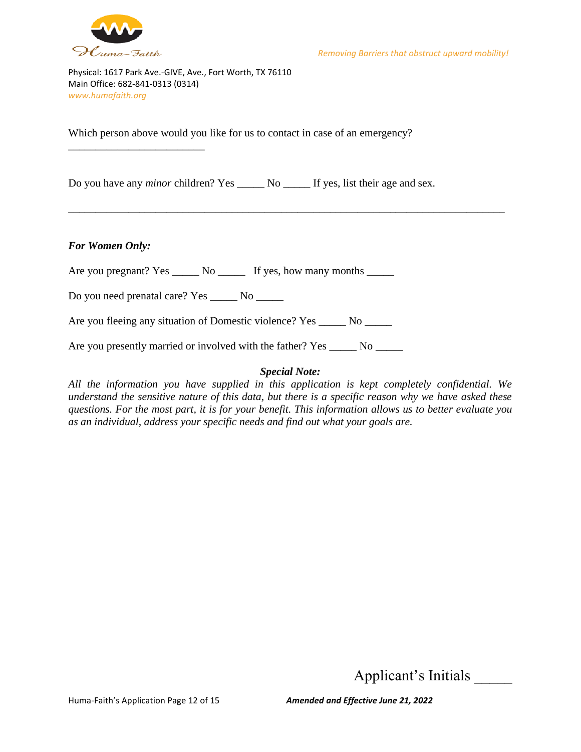

\_\_\_\_\_\_\_\_\_\_\_\_\_\_\_\_\_\_\_\_\_\_\_\_\_

Physical: 1617 Park Ave.-GIVE, Ave., Fort Worth, TX 76110 Main Office: 682-841-0313 (0314) *www.humafaith.org* 

Which person above would you like for us to contact in case of an emergency?

Do you have any *minor* children? Yes \_\_\_\_\_ No \_\_\_\_\_ If yes, list their age and sex.

#### *For Women Only:*

Are you pregnant? Yes \_\_\_\_\_\_ No \_\_\_\_\_\_ If yes, how many months \_\_\_\_\_\_

Do you need prenatal care? Yes \_\_\_\_\_\_ No \_\_\_\_\_\_

Are you fleeing any situation of Domestic violence? Yes \_\_\_\_\_ No \_\_\_\_\_\_

Are you presently married or involved with the father? Yes \_\_\_\_\_\_ No \_\_\_\_\_\_

#### *Special Note:*

\_\_\_\_\_\_\_\_\_\_\_\_\_\_\_\_\_\_\_\_\_\_\_\_\_\_\_\_\_\_\_\_\_\_\_\_\_\_\_\_\_\_\_\_\_\_\_\_\_\_\_\_\_\_\_\_\_\_\_\_\_\_\_\_\_\_\_\_\_\_\_\_\_\_\_\_\_\_\_\_

*All the information you have supplied in this application is kept completely confidential. We understand the sensitive nature of this data, but there is a specific reason why we have asked these questions. For the most part, it is for your benefit. This information allows us to better evaluate you as an individual, address your specific needs and find out what your goals are.*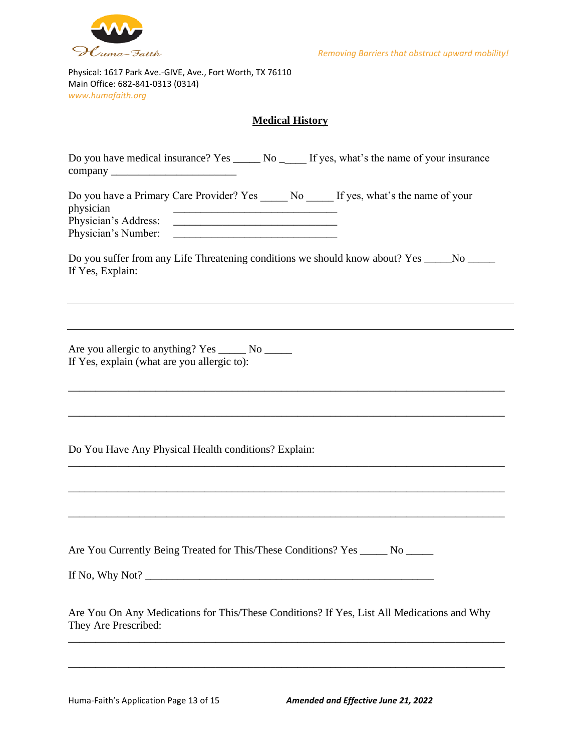

 $\overline{\phantom{a}}$ 

Physical: 1617 Park Ave.-GIVE, Ave., Fort Worth, TX 76110 Main Office: 682-841-0313 (0314) *www.humafaith.org* 

#### **Medical History**

|                                                                                                                |                                                                                                                       |  | Do you have medical insurance? Yes ________ No _______ If yes, what's the name of your insurance |  |
|----------------------------------------------------------------------------------------------------------------|-----------------------------------------------------------------------------------------------------------------------|--|--------------------------------------------------------------------------------------------------|--|
| physician<br>Physician's Number:                                                                               | <u> 1990 - Johann Harry Harry Harry Harry Harry Harry Harry Harry Harry Harry Harry Harry Harry Harry Harry Harry</u> |  | Do you have a Primary Care Provider? Yes ______ No ______ If yes, what's the name of your        |  |
| Do you suffer from any Life Threatening conditions we should know about? Yes _____No _____<br>If Yes, Explain: |                                                                                                                       |  |                                                                                                  |  |
| Are you allergic to anything? Yes _______ No ______<br>If Yes, explain (what are you allergic to):             |                                                                                                                       |  |                                                                                                  |  |
| Do You Have Any Physical Health conditions? Explain:                                                           |                                                                                                                       |  |                                                                                                  |  |
| If No, Why Not?                                                                                                |                                                                                                                       |  | Are You Currently Being Treated for This/These Conditions? Yes _____ No _____                    |  |
| They Are Prescribed:                                                                                           |                                                                                                                       |  | Are You On Any Medications for This/These Conditions? If Yes, List All Medications and Why       |  |
|                                                                                                                |                                                                                                                       |  |                                                                                                  |  |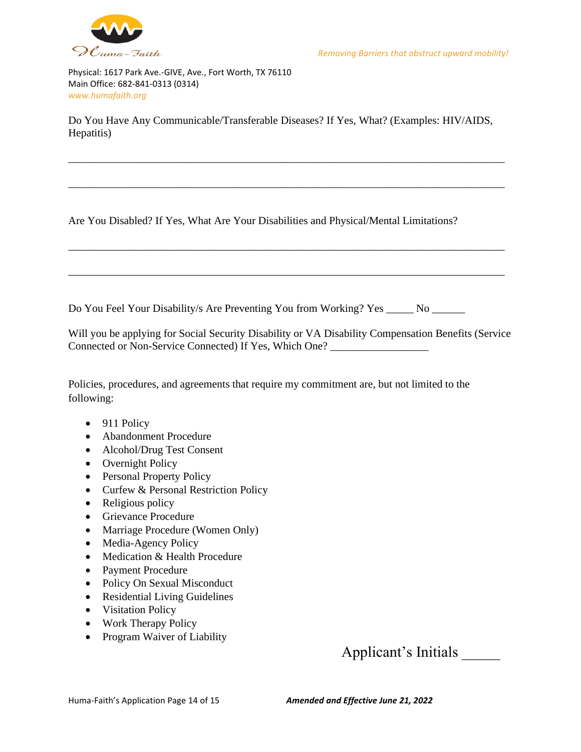

Do You Have Any Communicable/Transferable Diseases? If Yes, What? (Examples: HIV/AIDS, Hepatitis)

\_\_\_\_\_\_\_\_\_\_\_\_\_\_\_\_\_\_\_\_\_\_\_\_\_\_\_\_\_\_\_\_\_\_\_\_\_\_\_\_\_\_\_\_\_\_\_\_\_\_\_\_\_\_\_\_\_\_\_\_\_\_\_\_\_\_\_\_\_\_\_\_\_\_\_\_\_\_\_\_

\_\_\_\_\_\_\_\_\_\_\_\_\_\_\_\_\_\_\_\_\_\_\_\_\_\_\_\_\_\_\_\_\_\_\_\_\_\_\_\_\_\_\_\_\_\_\_\_\_\_\_\_\_\_\_\_\_\_\_\_\_\_\_\_\_\_\_\_\_\_\_\_\_\_\_\_\_\_\_\_

\_\_\_\_\_\_\_\_\_\_\_\_\_\_\_\_\_\_\_\_\_\_\_\_\_\_\_\_\_\_\_\_\_\_\_\_\_\_\_\_\_\_\_\_\_\_\_\_\_\_\_\_\_\_\_\_\_\_\_\_\_\_\_\_\_\_\_\_\_\_\_\_\_\_\_\_\_\_\_\_

\_\_\_\_\_\_\_\_\_\_\_\_\_\_\_\_\_\_\_\_\_\_\_\_\_\_\_\_\_\_\_\_\_\_\_\_\_\_\_\_\_\_\_\_\_\_\_\_\_\_\_\_\_\_\_\_\_\_\_\_\_\_\_\_\_\_\_\_\_\_\_\_\_\_\_\_\_\_\_\_

Are You Disabled? If Yes, What Are Your Disabilities and Physical/Mental Limitations?

Do You Feel Your Disability/s Are Preventing You from Working? Yes \_\_\_\_\_ No \_\_\_\_\_

Will you be applying for Social Security Disability or VA Disability Compensation Benefits (Service Connected or Non-Service Connected) If Yes, Which One?

Policies, procedures, and agreements that require my commitment are, but not limited to the following:

- 911 Policy
- Abandonment Procedure
- Alcohol/Drug Test Consent
- Overnight Policy
- Personal Property Policy
- Curfew & Personal Restriction Policy
- Religious policy
- Grievance Procedure
- Marriage Procedure (Women Only)
- Media-Agency Policy
- Medication & Health Procedure
- Payment Procedure
- Policy On Sexual Misconduct
- Residential Living Guidelines
- Visitation Policy
- Work Therapy Policy
- Program Waiver of Liability